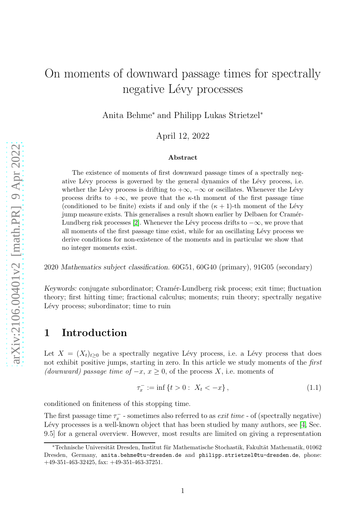# On moments of downward passage times for spectrally negative Lévy processes

Anita Behme<sup>∗</sup> and Philipp Lukas Strietzel<sup>∗</sup>

April 12, 2022

#### Abstract

The existence of moments of first downward passage times of a spectrally negative Lévy process is governed by the general dynamics of the Lévy process, i.e. whether the Lévy process is drifting to  $+\infty$ ,  $-\infty$  or oscillates. Whenever the Lévy process drifts to  $+\infty$ , we prove that the  $\kappa$ -th moment of the first passage time (conditioned to be finite) exists if and only if the  $(\kappa + 1)$ -th moment of the Lévy jump measure exists. This generalises a result shown earlier by Delbaen for Cramér-Lundberg risk processes [\[2\]](#page-13-0). Whenever the Lévy process drifts to  $-\infty$ , we prove that all moments of the first passage time exist, while for an oscillating L´evy process we derive conditions for non-existence of the moments and in particular we show that no integer moments exist.

2020 Mathematics subject classification. 60G51, 60G40 (primary), 91G05 (secondary)

Keywords: conjugate subordinator; Cramér-Lundberg risk process; exit time; fluctuation theory; first hitting time; fractional calculus; moments; ruin theory; spectrally negative Lévy process; subordinator; time to ruin

### 1 Introduction

Let  $X = (X_t)_{t\geq 0}$  be a spectrally negative Lévy process, i.e. a Lévy process that does not exhibit positive jumps, starting in zero. In this article we study moments of the first (downward) passage time of  $-x, x \geq 0$ , of the process X, i.e. moments of

<span id="page-0-0"></span>
$$
\tau_x^- := \inf \{ t > 0 : \ X_t < -x \}, \tag{1.1}
$$

conditioned on finiteness of this stopping time.

The first passage time  $\tau_x^-$  - sometimes also referred to as *exit time* - of (spectrally negative) Lévy processes is a well-known object that has been studied by many authors, see [\[4,](#page-13-1) Sec. 9.5] for a general overview. However, most results are limited on giving a representation

<sup>∗</sup>Technische Universit¨at Dresden, Institut f¨ur Mathematische Stochastik, Fakult¨at Mathematik, 01062 Dresden, Germany, anita.behme@tu-dresden.de and philipp.strietzel@tu-dresden.de, phone: +49-351-463-32425, fax: +49-351-463-37251.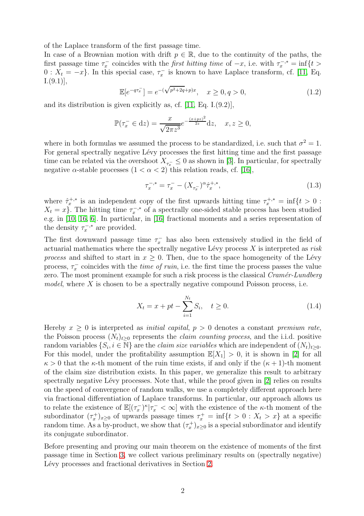of the Laplace transform of the first passage time.

In case of a Brownian motion with drift  $p \in \mathbb{R}$ , due to the continuity of the paths, the first passage time  $\tau_x^-$  coincides with the *first hitting time* of  $-x$ , i.e. with  $\tau_x^{-,*} = \inf\{t >$  $0: X_t = -x$ . In this special case,  $\tau_x^-$  is known to have Laplace transform, cf. [\[11,](#page-13-2) Eq.  $[1.((9.1)],$ 

<span id="page-1-1"></span>
$$
\mathbb{E}[e^{-q\tau_x^-}] = e^{-(\sqrt{p^2+2q}+p)x}, \quad x \ge 0, q > 0,
$$
\n(1.2)

and its distribution is given explicitly as, cf. [\[11,](#page-13-2) Eq. I.(9.2)],

$$
\mathbb{P}(\tau_x^- \in dz) = \frac{x}{\sqrt{2\pi z^3}} e^{-\frac{(x+pz)^2}{2z}} dz, \quad x, z \ge 0,
$$

where in both formulas we assumed the process to be standardized, i.e. such that  $\sigma^2 = 1$ . For general spectrally negative Lévy processes the first hitting time and the first passage time can be related via the overshoot  $X_{\tau_x^-} \leq 0$  as shown in [\[3\]](#page-13-3). In particular, for spectrally negative  $\alpha$ -stable processes  $(1 < \alpha < 2)$  this relation reads, cf. [\[16\]](#page-14-0),

$$
\tau_x^{-,*} = \tau_x^{-} - (X_{\tau_x^{-}})^{\alpha} \hat{\tau}_x^{+,*}, \tag{1.3}
$$

where  $\hat{\tau}_x^{+,*}$  is an independent copy of the first upwards hitting time  $\tau_x^{+,*} = \inf\{t > 0 :$  $X_t = x$ . The hitting time  $\tau_x^{-, *}$  of a spectrally one-sided stable process has been studied e.g. in [\[10,](#page-13-4) [16,](#page-14-0) [6\]](#page-13-5). In particular, in [\[16\]](#page-14-0) fractional moments and a series representation of the density  $\tau_x^{-,*}$  are provided.

The first downward passage time  $\tau_x^-$  has also been extensively studied in the field of actuarial mathematics where the spectrally negative Lévy process  $X$  is interpreted as risk process and shifted to start in  $x \geq 0$ . Then, due to the space homogeneity of the Lévy process,  $\tau_x^-$  coincides with the *time of ruin*, i.e. the first time the process passes the value zero. The most prominent example for such a risk process is the classical  $Cram\acute{e}r-Lundberg$ model, where  $X$  is chosen to be a spectrally negative compound Poisson process, i.e.

<span id="page-1-0"></span>
$$
X_t = x + pt - \sum_{i=1}^{N_t} S_i, \quad t \ge 0.
$$
 (1.4)

Hereby  $x > 0$  is interpreted as *initial capital*,  $p > 0$  denotes a constant *premium rate*, the Poisson process  $(N_t)_{t>0}$  represents the *claim counting process*, and the i.i.d. positive random variables  $\{S_i, i \in \mathbb{N}\}\$ are the *claim size variables* which are independent of  $(N_t)_{t \geq 0}$ . For this model, under the profitability assumption  $\mathbb{E}[X_1] > 0$ , it is shown in [\[2\]](#page-13-0) for all  $\kappa > 0$  that the  $\kappa$ -th moment of the ruin time exists, if and only if the  $(\kappa + 1)$ -th moment of the claim size distribution exists. In this paper, we generalize this result to arbitrary spectrally negative Lévy processes. Note that, while the proof given in  $[2]$  relies on results on the speed of convergence of random walks, we use a completely different approach here via fractional differentiation of Laplace transforms. In particular, our approach allows us to relate the existence of  $\mathbb{E}[(\tau_x^{-})^{\kappa}|\tau_x^{-} < \infty]$  with the existence of the  $\kappa$ -th moment of the subordinator  $(\tau_x^+)_{x\geq 0}$  of upwards passage times  $\tau_x^+ = \inf\{t > 0 : X_t > x\}$  at a specific random time. As a by-product, we show that  $(\tau_x^+)_{x\geq 0}$  is a special subordinator and identify its conjugate subordinator.

Before presenting and proving our main theorem on the existence of moments of the first passage time in Section [3,](#page-4-0) we collect various preliminary results on (spectrally negative) Lévy processes and fractional derivatives in Section [2.](#page-2-0)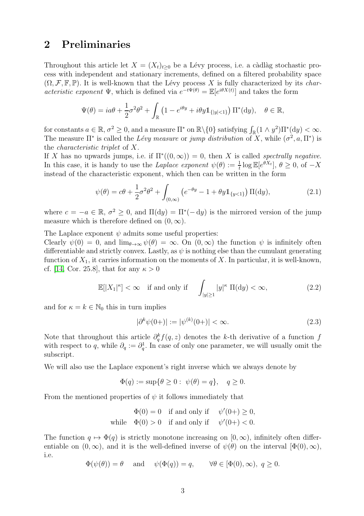#### <span id="page-2-0"></span>2 Preliminaries

Throughout this article let  $X = (X_t)_{t>0}$  be a Lévy process, i.e. a càdlàg stochastic process with independent and stationary increments, defined on a filtered probability space  $(\Omega, \mathcal{F}, \mathbb{F}, \mathbb{P})$ . It is well-known that the Lévy process X is fully characterized by its *char*acteristic exponent  $\Psi$ , which is defined via  $e^{-t\Psi(\theta)} = \mathbb{E}[e^{i\theta X(t)}]$  and takes the form

$$
\Psi(\theta) = ia\theta + \frac{1}{2}\sigma^2\theta^2 + \int_{\mathbb{R}} \left(1 - e^{i\theta y} + i\theta y \mathbb{1}_{\{|y| < 1\}}\right) \Pi^*(\mathrm{d}y), \quad \theta \in \mathbb{R},
$$

for constants  $a \in \mathbb{R}$ ,  $\sigma^2 \geq 0$ , and a measure  $\Pi^*$  on  $\mathbb{R} \setminus \{0\}$  satisfying  $\int_{\mathbb{R}} (1 \wedge y^2) \Pi^*(\mathrm{d}y) < \infty$ . The measure  $\Pi^*$  is called the Lévy measure or jump distribution of X, while  $(\sigma^2, a, \Pi^*)$  is the characteristic triplet of X.

If X has no upwards jumps, i.e. if  $\Pi^*((0,\infty)) = 0$ , then X is called *spectrally negative*. In this case, it is handy to use the *Laplace exponent*  $\psi(\theta) := \frac{1}{t} \log \mathbb{E}[e^{\theta X_t}], \theta \ge 0$ , of  $-X$ instead of the characteristic exponent, which then can be written in the form

<span id="page-2-1"></span>
$$
\psi(\theta) = c\theta + \frac{1}{2}\sigma^2 \theta^2 + \int_{(0,\infty)} \left( e^{-\theta y} - 1 + \theta y \mathbb{1}_{\{y < 1\}} \right) \Pi(\mathrm{d}y),\tag{2.1}
$$

where  $c = -a \in \mathbb{R}, \sigma^2 \ge 0$ , and  $\Pi(dy) = \Pi^*(-dy)$  is the mirrored version of the jump measure which is therefore defined on  $(0, \infty)$ .

The Laplace exponent  $\psi$  admits some useful properties:

Clearly  $\psi(0) = 0$ , and  $\lim_{\theta \to \infty} \psi(\theta) = \infty$ . On  $(0, \infty)$  the function  $\psi$  is infinitely often differentiable and strictly convex. Lastly, as  $\psi$  is nothing else than the cumulant generating function of  $X_1$ , it carries information on the moments of X. In particular, it is well-known, cf. [\[14,](#page-14-1) Cor. 25.8], that for any  $\kappa > 0$ 

$$
\mathbb{E}[|X_1|^{\kappa}] < \infty \quad \text{if and only if} \quad \int_{|y| \ge 1} |y|^{\kappa} \, \Pi(\mathrm{d}y) < \infty,\tag{2.2}
$$

and for  $\kappa = k \in \mathbb{N}_0$  this in turn implies

<span id="page-2-2"></span>
$$
|\partial^k \psi(0+)| := |\psi^{(k)}(0+)| < \infty. \tag{2.3}
$$

Note that throughout this article  $\partial_q^k f(q, z)$  denotes the k-th derivative of a function f with respect to q, while  $\partial_q := \partial_q^1$ . In case of only one parameter, we will usually omit the subscript.

We will also use the Laplace exponent's right inverse which we always denote by

$$
\Phi(q) := \sup \{ \theta \ge 0 : \psi(\theta) = q \}, \quad q \ge 0.
$$

From the mentioned properties of  $\psi$  it follows immediately that

$$
\Phi(0) = 0 \quad \text{if and only if} \quad \psi'(0+) \ge 0,
$$
  
while 
$$
\Phi(0) > 0 \quad \text{if and only if} \quad \psi'(0+) < 0.
$$

The function  $q \mapsto \Phi(q)$  is strictly monotone increasing on  $[0, \infty)$ , infinitely often differentiable on  $(0, \infty)$ , and it is the well-defined inverse of  $\psi(\theta)$  on the interval  $[\Phi(0), \infty)$ , i.e.

$$
\Phi(\psi(\theta)) = \theta
$$
 and  $\psi(\Phi(q)) = q$ ,  $\forall \theta \in [\Phi(0), \infty), q \ge 0$ .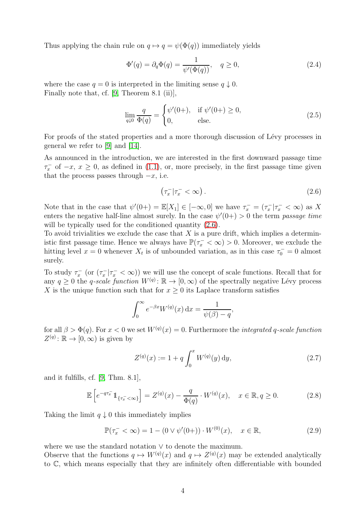Thus applying the chain rule on  $q \mapsto q = \psi(\Phi(q))$  immediately yields

<span id="page-3-2"></span>
$$
\Phi'(q) = \partial_q \Phi(q) = \frac{1}{\psi'(\Phi(q))}, \quad q \ge 0,
$$
\n(2.4)

where the case  $q = 0$  is interpreted in the limiting sense  $q \downarrow 0$ . Finally note that, cf. [\[9,](#page-13-6) Theorem 8.1 (ii)],

$$
\lim_{q\downarrow 0} \frac{q}{\Phi(q)} = \begin{cases} \psi'(0+), & \text{if } \psi'(0+) \ge 0, \\ 0, & \text{else.} \end{cases}
$$
\n(2.5)

For proofs of the stated properties and a more thorough discussion of Lévy processes in general we refer to [\[9\]](#page-13-6) and [\[14\]](#page-14-1).

As announced in the introduction, we are interested in the first downward passage time  $\tau_x^-$  of  $-x$ ,  $x \ge 0$ , as defined in [\(1.1\)](#page-0-0), or, more precisely, in the first passage time given that the process passes through  $-x$ , i.e.

<span id="page-3-0"></span>
$$
\left(\tau_x^- \,|\tau_x^- < \infty\right). \tag{2.6}
$$

Note that in the case that  $\psi'(0+) = \mathbb{E}[X_1] \in [-\infty, 0]$  we have  $\tau_x^- = (\tau_x^- | \tau_x^- < \infty)$  as X enters the negative half-line almost surely. In the case  $\psi'(0+) > 0$  the term passage time will be typically used for the conditioned quantity  $(2.6)$ .

To avoid trivialities we exclude the case that  $X$  is a pure drift, which implies a deterministic first passage time. Hence we always have  $\mathbb{P}(\tau_x^- < \infty) > 0$ . Moreover, we exclude the hitting level  $x = 0$  whenever  $X_t$  is of unbounded variation, as in this case  $\tau_0^- = 0$  almost surely.

To study  $\tau_x^-$  (or  $(\tau_x^- | \tau_x^- < \infty)$ ) we will use the concept of scale functions. Recall that for any  $q \geq 0$  the q-scale function  $W^{(q)}: \mathbb{R} \to [0, \infty)$  of the spectrally negative Lévy process X is the unique function such that for  $x \geq 0$  its Laplace transform satisfies

$$
\int_0^\infty e^{-\beta x} W^{(q)}(x) \, \mathrm{d}x = \frac{1}{\psi(\beta) - q},
$$

for all  $\beta > \Phi(q)$ . For  $x < 0$  we set  $W^{(q)}(x) = 0$ . Furthermore the *integrated q-scale function*  $Z^{(q)}: \mathbb{R} \to [0, \infty)$  is given by

$$
Z^{(q)}(x) := 1 + q \int_0^x W^{(q)}(y) \, dy,\tag{2.7}
$$

and it fulfills, cf. [\[9,](#page-13-6) Thm. 8.1],

<span id="page-3-1"></span>
$$
\mathbb{E}\left[e^{-q\tau_x^-}\mathbb{1}_{\{\tau_x^-<\infty\}}\right] = Z^{(q)}(x) - \frac{q}{\Phi(q)} \cdot W^{(q)}(x), \quad x \in \mathbb{R}, q \ge 0. \tag{2.8}
$$

Taking the limit  $q \downarrow 0$  this immediately implies

$$
\mathbb{P}(\tau_x^- < \infty) = 1 - (0 \vee \psi'(0+)) \cdot W^{(0)}(x), \quad x \in \mathbb{R},\tag{2.9}
$$

where we use the standard notation ∨ to denote the maximum.

Observe that the functions  $q \mapsto W^{(q)}(x)$  and  $q \mapsto Z^{(q)}(x)$  may be extended analytically to C, which means especially that they are infinitely often differentiable with bounded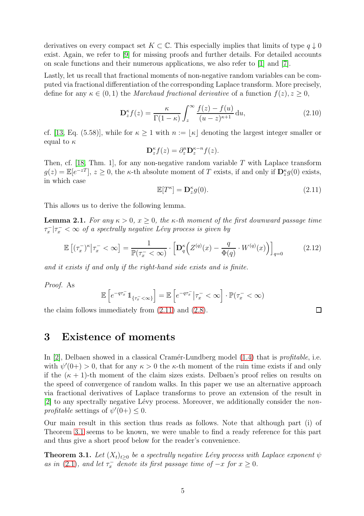derivatives on every compact set  $K \subset \mathbb{C}$ . This especially implies that limits of type  $q \downarrow 0$ exist. Again, we refer to [\[9\]](#page-13-6) for missing proofs and further details. For detailed accounts on scale functions and their numerous applications, we also refer to [\[1\]](#page-13-7) and [\[7\]](#page-13-8).

Lastly, let us recall that fractional moments of non-negative random variables can be computed via fractional differentiation of the corresponding Laplace transform. More precisely, define for any  $\kappa \in (0,1)$  the *Marchaud fractional derivative* of a function  $f(z), z \geq 0$ ,

<span id="page-4-3"></span>
$$
\mathbf{D}_{z}^{\kappa}f(z) = \frac{\kappa}{\Gamma(1-\kappa)} \int_{z}^{\infty} \frac{f(z) - f(u)}{(u-z)^{\kappa+1}} du,
$$
\n(2.10)

cf. [\[13,](#page-14-2) Eq. (5.58)], while for  $\kappa \geq 1$  with  $n := |\kappa|$  denoting the largest integer smaller or equal to  $\kappa$ 

$$
\mathbf{D}_{z}^{\kappa}f(z)=\partial_{z}^{n}\mathbf{D}_{z}^{\kappa-n}f(z).
$$

Then, cf.  $[18, Thm. 1]$ , for any non-negative random variable T with Laplace transform  $g(z) = \mathbb{E}[e^{-zT}], z \ge 0$ , the  $\kappa$ -th absolute moment of T exists, if and only if  $\mathbf{D}_{z}^{\kappa} g(0)$  exists, in which case

<span id="page-4-1"></span>
$$
\mathbb{E}[T^{\kappa}] = \mathbf{D}_{z}^{\kappa} g(0). \tag{2.11}
$$

 $\Box$ 

This allows us to derive the following lemma.

<span id="page-4-4"></span>**Lemma 2.1.** For any  $\kappa > 0$ ,  $x \geq 0$ , the  $\kappa$ -th moment of the first downward passage time  $\tau_x^-|\tau_x^-<\infty$  of a spectrally negative Lévy process is given by

$$
\mathbb{E}\left[ (\tau_x^-)^{\kappa} \middle| \tau_x^- < \infty \right] = \frac{1}{\mathbb{P}(\tau_x^- < \infty)} \cdot \left[ \mathbf{D}_q^{\kappa} \left( Z^{(q)}(x) - \frac{q}{\Phi(q)} \cdot W^{(q)}(x) \right) \right]_{q=0} \tag{2.12}
$$

and it exists if and only if the right-hand side exists and is finite.

Proof. As

$$
\mathbb{E}\left[e^{-q\tau_x^-}\mathbb{1}_{\{\tau_x^-<\infty\}}\right]=\mathbb{E}\left[e^{-q\tau_x^-}\big|\tau_x^-<\infty\right]\cdot\mathbb{P}(\tau_x^-<\infty)
$$

<span id="page-4-0"></span>the claim follows immediately from [\(2.11\)](#page-4-1) and [\(2.8\)](#page-3-1).

## 3 Existence of moments

In [\[2\]](#page-13-0), Delbaen showed in a classical Cramér-Lundberg model  $(1.4)$  that is *profitable*, i.e. with  $\psi'(0+) > 0$ , that for any  $\kappa > 0$  the  $\kappa$ -th moment of the ruin time exists if and only if the  $(\kappa + 1)$ -th moment of the claim sizes exists. Delbaen's proof relies on results on the speed of convergence of random walks. In this paper we use an alternative approach via fractional derivatives of Laplace transforms to prove an extension of the result in  $[2]$  to any spectrally negative Lévy process. Moreover, we additionally consider the nonprofitable settings of  $\psi'(0+) \leq 0$ .

Our main result in this section thus reads as follows. Note that although part (i) of Theorem [3.1](#page-4-2) seems to be known, we were unable to find a ready reference for this part and thus give a short proof below for the reader's convenience.

<span id="page-4-2"></span>**Theorem 3.1.** Let  $(X_t)_{t\geq 0}$  be a spectrally negative Lévy process with Laplace exponent  $\psi$ as in [\(2.1\)](#page-2-1), and let  $\tau_x^-$  denote its first passage time of  $-x$  for  $x \ge 0$ .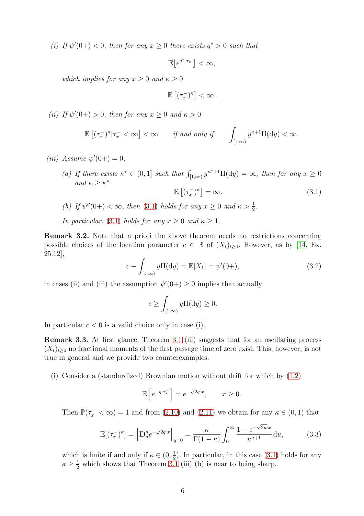(i) If  $\psi'(0+) < 0$ , then for any  $x \ge 0$  there exists  $q^* > 0$  such that

$$
\mathbb{E}\big[e^{q^*\cdot\tau_x^-}\big]<\infty,
$$

which implies for any  $x \geq 0$  and  $\kappa \geq 0$ 

$$
\mathbb{E}\left[ (\tau_x^-)^{\kappa}\right] < \infty.
$$

(*ii*) If  $\psi'(0+) > 0$ , then for any  $x \ge 0$  and  $\kappa > 0$ 

$$
\mathbb{E}\left[(\tau_x^-)^{\kappa}|\tau_x^-<\infty\right]<\infty \qquad \textit{if and only if}\qquad \int_{[1,\infty)}y^{\kappa+1}\Pi(\mathrm{d} y)<\infty.
$$

(*iii*) Assume  $\psi'(0+) = 0$ .

(a) If there exists  $\kappa^* \in (0,1]$  such that  $\int_{[1,\infty)} y^{\kappa^*+1} \Pi(\mathrm{d}y) = \infty$ , then for any  $x \ge 0$ and  $\kappa \geq \kappa^*$  $\mathbb{E}\left[ (\tau_x^-)^{\kappa} \right] = \infty.$  (3.1)

(b) If 
$$
\psi''(0+) < \infty
$$
, then (3.1) holds for any  $x \ge 0$  and  $\kappa > \frac{1}{2}$ .

In particular, (3.1) holds for any 
$$
x \ge 0
$$
 and  $\kappa \ge 1$ .

Remark 3.2. Note that a priori the above theorem needs no restrictions concerning possible choices of the location parameter  $c \in \mathbb{R}$  of  $(X_t)_{t>0}$ . However, as by [\[14,](#page-14-1) Ex. 25.12],

<span id="page-5-0"></span>
$$
c - \int_{[1,\infty)} y \Pi(\mathrm{d}y) = \mathbb{E}[X_1] = \psi'(0+),\tag{3.2}
$$

in cases (ii) and (iii) the assumption  $\psi'(0+) \geq 0$  implies that actually

$$
c \ge \int_{[1,\infty)} y \Pi(\mathrm{d}y) \ge 0.
$$

In particular  $c < 0$  is a valid choice only in case (i).

Remark 3.3. At first glance, Theorem [3.1](#page-4-2) (iii) suggests that for an oscillating process  $(X_t)_{t\geq0}$  no fractional moments of the first passage time of zero exist. This, however, is not true in general and we provide two counterexamples:

(i) Consider a (standardized) Brownian motion without drift for which by [\(1.2\)](#page-1-1)

$$
\mathbb{E}\left[e^{-q\cdot\tau_x^-}\right] = e^{-\sqrt{2q}\cdot x}, \qquad x \ge 0.
$$

Then  $\mathbb{P}(\tau_x^- < \infty) = 1$  and from [\(2.10\)](#page-4-3) and [\(2.11\)](#page-4-1) we obtain for any  $\kappa \in (0, 1)$  that

$$
\mathbb{E}[(\tau_x^-)^{\kappa}] = \left[\mathbf{D}_q^{\kappa} e^{-\sqrt{2q}\cdot x}\right]_{q=0} = \frac{\kappa}{\Gamma(1-\kappa)} \int_0^\infty \frac{1 - e^{-\sqrt{2u}\cdot x}}{u^{\kappa+1}} \, \mathrm{d}u,\tag{3.3}
$$

which is finite if and only if  $\kappa \in (0, \frac{1}{2})$  $\frac{1}{2}$ ). In particular, in this case [\(3.1\)](#page-5-0) holds for any  $\kappa \geq \frac{1}{2}$  which shows that Theorem [3.1](#page-4-2) (iii) (b) is near to being sharp.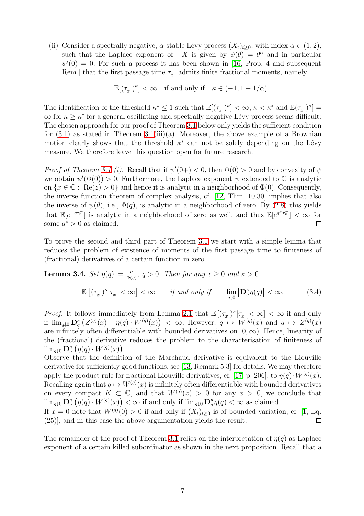(ii) Consider a spectrally negative,  $\alpha$ -stable Lévy process  $(X_t)_{t>0}$ , with index  $\alpha \in (1,2)$ , such that the Laplace exponent of  $-X$  is given by  $\psi(\theta) = \theta^{\alpha}$  and in particular  $\psi'(0) = 0$ . For such a process it has been shown in [\[16,](#page-14-0) Prop. 4 and subsequent Rem.] that the first passage time  $\tau_x^-$  admits finite fractional moments, namely

$$
\mathbb{E}[(\tau_x^-)^{\kappa}] < \infty \quad \text{if and only if} \quad \kappa \in (-1, 1 - 1/\alpha).
$$

The identification of the threshold  $\kappa^* \leq 1$  such that  $\mathbb{E}[(\tau_x^{-})^{\kappa}] < \infty$ ,  $\kappa < \kappa^*$  and  $\mathbb{E}(\tau_x^{-})^{\kappa}] =$  $\infty$  for  $\kappa \geq \kappa^*$  for a general oscillating and spectrally negative Lévy process seems difficult: The chosen approach for our proof of Theorem [3.1](#page-4-2) below only yields the sufficient condition for  $(3.1)$  as stated in Theorem  $3.1(iii)(a)$ . Moreover, the above example of a Brownian motion clearly shows that the threshold  $\kappa^*$  can not be solely depending on the Lévy measure. We therefore leave this question open for future research.

*Proof of Theorem [3.1](#page-4-2) (i).* Recall that if  $\psi'(0+) < 0$ , then  $\Phi(0) > 0$  and by convexity of  $\psi$ we obtain  $\psi'(\Phi(0)) > 0$ . Furthermore, the Laplace exponent  $\psi$  extended to  $\mathbb C$  is analytic on  $\{x \in \mathbb{C} : \text{Re}(z) > 0\}$  and hence it is analytic in a neighborhood of  $\Phi(0)$ . Consequently, the inverse function theorem of complex analysis, cf. [\[12,](#page-14-4) Thm. 10.30] implies that also the inverse of  $\psi(\theta)$ , i.e.,  $\Phi(q)$ , is analytic in a neighborhood of zero. By [\(2.8\)](#page-3-1) this yields that  $\mathbb{E}[e^{-q\tau_x}]$  is analytic in a neighborhood of zero as well, and thus  $\mathbb{E}[e^{q^*\tau_x}] < \infty$  for some  $q^* > 0$  as claimed.

To prove the second and third part of Theorem [3.1](#page-4-2) we start with a simple lemma that reduces the problem of existence of moments of the first passage time to finiteness of (fractional) derivatives of a certain function in zero.

<span id="page-6-0"></span>**Lemma 3.4.** Set 
$$
\eta(q) := \frac{q}{\Phi(q)}, q > 0
$$
. Then for any  $x \ge 0$  and  $\kappa > 0$   

$$
\mathbb{E}[(\tau_x^{-})^{\kappa} | \tau_x^{-} < \infty] < \infty \quad \text{if and only if} \quad \lim_{q \downarrow 0} |\mathbf{D}_q^{\kappa} \eta(q)| < \infty. \tag{3.4}
$$

*Proof.* It follows immediately from Lemma [2.1](#page-4-4) that  $\mathbb{E}[(\tau_x^{-})^{\kappa}|\tau_x^{-} < \infty] < \infty$  if and only if  $\lim_{q\downarrow 0}$   $\mathbf{D}_q^{\kappa}$   $(Z^{(q)}(x) - \eta(q) \cdot W^{(q)}(x)) < \infty$ . However,  $q \mapsto W^{(q)}(x)$  and  $q \mapsto Z^{(q)}(x)$ are infinitely often differentiable with bounded derivatives on  $[0, \infty)$ . Hence, linearity of the (fractional) derivative reduces the problem to the characterisation of finiteness of  $\lim_{q\downarrow 0} \mathbf{D}^{\kappa}_q \left( \eta(q) \cdot W^{(q)}(x) \right).$ 

Observe that the definition of the Marchaud derivative is equivalent to the Liouville derivative for sufficiently good functions, see [\[13,](#page-14-2) Remark 5.3] for details. We may therefore apply the product rule for fractional Liouville derivatives, cf. [\[17,](#page-14-5) p. 206], to  $\eta(q) \cdot W^{(q)}(x)$ . Recalling again that  $q \mapsto W^{(q)}(x)$  is infinitely often differentiable with bounded derivatives on every compact  $K \subset \mathbb{C}$ , and that  $W^{(q)}(x) > 0$  for any  $x > 0$ , we conclude that  $\lim_{q\downarrow 0} \mathbf{D}_q^{\kappa}(\eta(q) \cdot W^{(q)}(x)) < \infty$  if and only if  $\lim_{q\downarrow 0} \mathbf{D}_q^{\kappa} \eta(q) < \infty$  as claimed.

If  $x = 0$  note that  $W^{(q)}(0) > 0$  if and only if  $(X_t)_{t\geq 0}$  is of bounded variation, cf. [\[1,](#page-13-7) Eq. (25)], and in this case the above argumentation yields the result. □

The remainder of the proof of Theorem [3.1](#page-4-2) relies on the interpretation of  $\eta(q)$  as Laplace exponent of a certain killed subordinator as shown in the next proposition. Recall that a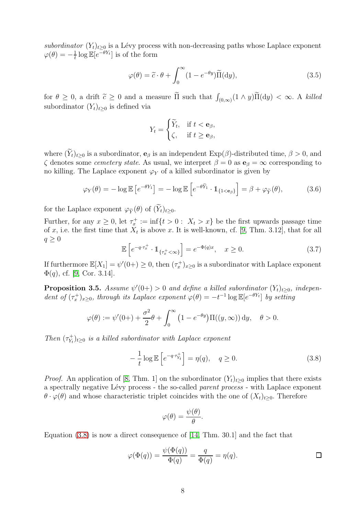subordinator  $(Y_t)_{t\geq 0}$  is a Lévy process with non-decreasing paths whose Laplace exponent  $\varphi(\theta) = -\frac{1}{t}$  $\frac{1}{t} \log \mathbb{E}[e^{-\theta Y_t}]$  is of the form

$$
\varphi(\theta) = \tilde{c} \cdot \theta + \int_0^\infty (1 - e^{-\theta y}) \tilde{\Pi}(\mathrm{d}y),\tag{3.5}
$$

for  $\theta \geq 0$ , a drift  $\tilde{c} \geq 0$  and a measure  $\tilde{\Pi}$  such that  $\int$  $(\phi_{(0,\infty)}(1 \wedge y)\Pi(dy) < \infty$ . A killed subordinator  $(Y_t)_{t>0}$  is defined via

$$
Y_t = \begin{cases} \widetilde{Y}_t, & \text{if } t < \mathbf{e}_{\beta}, \\ \zeta, & \text{if } t \ge \mathbf{e}_{\beta}, \end{cases}
$$

where  $(\widetilde{Y}_t)_{t\geq0}$  is a subordinator,  $e_\beta$  is an independent  $\text{Exp}(\beta)$ -distributed time,  $\beta>0$ , and  $\zeta$  denotes some *cemetery state*. As usual, we interpret  $\beta = 0$  as  $\mathbf{e}_{\beta} = \infty$  corresponding to no killing. The Laplace exponent  $\varphi_Y$  of a killed subordinator is given by

$$
\varphi_Y(\theta) = -\log \mathbb{E}\left[e^{-\theta Y_1}\right] = -\log \mathbb{E}\left[e^{-\theta \tilde{Y}_1} \cdot \mathbb{1}_{\{1 < \mathbf{e}_\beta\}}\right] = \beta + \varphi_{\tilde{Y}}(\theta),\tag{3.6}
$$

for the Laplace exponent  $\varphi_{\widetilde{Y}}(\theta)$  of  $(\widetilde{Y}_t)_{t>0}$ .

Further, for any  $x \geq 0$ , let  $\tau_x^+ := \inf\{t > 0 : X_t > x\}$  be the first upwards passage time of x, i.e. the first time that  $X_t$  is above x. It is well-known, cf. [\[9,](#page-13-6) Thm. 3.12], that for all  $q \geq 0$ 

<span id="page-7-2"></span>
$$
\mathbb{E}\left[e^{-q\cdot\tau_x^+}\cdot \mathbb{1}_{\{\tau_x^+\langle\infty\}}\right] = e^{-\Phi(q)x}, \quad x \ge 0.
$$
\n(3.7)

If furthermore  $\mathbb{E}[X_1] = \psi'(0+) \geq 0$ , then  $(\tau_x^+)_{x \geq 0}$  is a subordinator with Laplace exponent  $\Phi(q)$ , cf. [\[9,](#page-13-6) Cor. 3.14].

<span id="page-7-1"></span>**Proposition 3.5.** Assume  $\psi'(0+) > 0$  and define a killed subordinator  $(Y_t)_{t \geq 0}$ , independent of  $(\tau_x^+)_{x\geq 0}$ , through its Laplace exponent  $\varphi(\theta) = -t^{-1} \log \mathbb{E}[e^{-\theta Y_t}]$  by setting

$$
\varphi(\theta) := \psi'(0+) + \frac{\sigma^2}{2}\theta + \int_0^\infty \left(1 - e^{-\theta y}\right) \Pi((y,\infty)) dy, \quad \theta > 0.
$$

Then  $(\tau_{Y_t}^+$  $\mathcal{Y}_{Y_t}^{(+)}\}_{t\geq0}$  is a killed subordinator with Laplace exponent

<span id="page-7-0"></span>
$$
-\frac{1}{t}\log \mathbb{E}\left[e^{-q\cdot\tau_{Y_t}^+}\right] = \eta(q), \quad q \ge 0. \tag{3.8}
$$

*Proof.* An application of [\[8,](#page-13-9) Thm. 1] on the subordinator  $(Y_t)_{t>0}$  implies that there exists a spectrally negative Lévy process - the so-called parent process - with Laplace exponent  $\theta \cdot \varphi(\theta)$  and whose characteristic triplet coincides with the one of  $(X_t)_{t>0}$ . Therefore

$$
\varphi(\theta) = \frac{\psi(\theta)}{\theta}.
$$

Equation [\(3.8\)](#page-7-0) is now a direct consequence of [\[14,](#page-14-1) Thm. 30.1] and the fact that

$$
\varphi(\Phi(q)) = \frac{\psi(\Phi(q))}{\Phi(q)} = \frac{q}{\Phi(q)} = \eta(q).
$$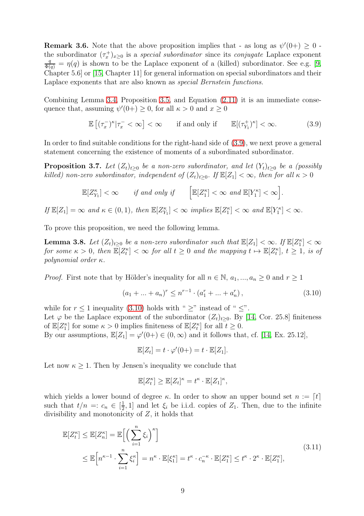**Remark 3.6.** Note that the above proposition implies that - as long as  $\psi'(0+) \geq 0$  the subordinator  $(\tau_x^+)_{x\geq 0}$  is a special subordinator since its conjugate Laplace exponent  $\frac{q}{\Phi(q)} = \eta(q)$  is shown to be the Laplace exponent of a (killed) subordinator. See e.g. [\[9,](#page-13-6) Chapter 5.6] or [\[15,](#page-14-6) Chapter 11] for general information on special subordinators and their Laplace exponents that are also known as *special Bernstein functions*.

Combining Lemma [3.4,](#page-6-0) Proposition [3.5,](#page-7-1) and Equation [\(2.11\)](#page-4-1) it is an immediate consequence that, assuming  $\psi'(0+) \geq 0$ , for all  $\kappa > 0$  and  $x \geq 0$ 

<span id="page-8-0"></span>
$$
\mathbb{E}\left[ (\tau_x^-)^{\kappa} | \tau_x^- < \infty \right] < \infty \qquad \text{if and only if} \qquad \mathbb{E}[(\tau_{Y_1}^+)^{\kappa}] < \infty. \tag{3.9}
$$

In order to find suitable conditions for the right-hand side of [\(3.9\)](#page-8-0), we next prove a general statement concerning the existence of moments of a subordinated subordinator.

<span id="page-8-3"></span>**Proposition 3.7.** Let  $(Z_t)_{t\geq 0}$  be a non-zero subordinator, and let  $(Y_t)_{t\geq 0}$  be a (possibly killed) non-zero subordinator, independent of  $(Z_t)_{t\geq0}$ . If  $\mathbb{E}[Z_1]<\infty$ , then for all  $\kappa>0$ 

$$
\mathbb{E}[Z_{Y_1}^{\kappa}] < \infty \quad \text{if and only if} \quad \left[\mathbb{E}[Z_1^{\kappa}] < \infty \text{ and } \mathbb{E}[Y_1^{\kappa}] < \infty\right].
$$

If  $\mathbb{E}[Z_1] = \infty$  and  $\kappa \in (0, 1)$ , then  $\mathbb{E}[Z_{Y_1}^{\kappa}] < \infty$  implies  $\mathbb{E}[Z_1^{\kappa}] < \infty$  and  $\mathbb{E}[Y_1^{\kappa}] < \infty$ .

To prove this proposition, we need the following lemma.

<span id="page-8-4"></span>**Lemma 3.8.** Let  $(Z_t)_{t\geq 0}$  be a non-zero subordinator such that  $\mathbb{E}[Z_1] < \infty$ . If  $\mathbb{E}[Z_1^{\kappa}] < \infty$ for some  $\kappa > 0$ , then  $\mathbb{E}[Z_t^{\kappa}] < \infty$  for all  $t \geq 0$  and the mapping  $t \mapsto \mathbb{E}[Z_t^{\kappa}], t \geq 1$ , is of polynomial order  $\kappa$ .

*Proof.* First note that by Hölder's inequality for all  $n \in \mathbb{N}$ ,  $a_1, ..., a_n \geq 0$  and  $r \geq 1$ 

<span id="page-8-1"></span>
$$
(a_1 + \dots + a_n)^r \le n^{r-1} \cdot (a_1^r + \dots + a_n^r),
$$
\n(3.10)

while for  $r \leq 1$  inequality [\(3.10\)](#page-8-1) holds with "  $\geq$ " instead of "  $\leq$ ". Let  $\varphi$  be the Laplace exponent of the subordinator  $(Z_t)_{t>0}$ . By [\[14,](#page-14-1) Cor. 25.8] finiteness of  $\mathbb{E}[Z_1^{\kappa}]$  for some  $\kappa > 0$  implies finiteness of  $\mathbb{E}[Z_t^{\kappa}]$  for all  $t \geq 0$ . By our assumptions,  $\mathbb{E}[Z_1] = \varphi'(0+) \in (0, \infty)$  and it follows that, cf. [\[14,](#page-14-1) Ex. 25.12],

$$
\mathbb{E}[Z_t] = t \cdot \varphi'(0+) = t \cdot \mathbb{E}[Z_1].
$$

Let now  $\kappa > 1$ . Then by Jensen's inequality we conclude that

$$
\mathbb{E}[Z_t^{\kappa}] \geq \mathbb{E}[Z_t]^{\kappa} = t^{\kappa} \cdot \mathbb{E}[Z_1]^{\kappa},
$$

which yields a lower bound of degree  $\kappa$ . In order to show an upper bound set  $n := [t]$ such that  $t/n =: c_n \in [\frac{1}{2}]$  $\frac{1}{2}$ , 1] and let  $\xi_i$  be i.i.d. copies of  $Z_1$ . Then, due to the infinite divisibility and monotonicity of Z, it holds that

<span id="page-8-2"></span>
$$
\mathbb{E}[Z_t^{\kappa}] \leq \mathbb{E}[Z_n^{\kappa}] = \mathbb{E}\Big[\Big(\sum_{i=1}^n \xi_i\Big)^{\kappa}\Big] \n\leq \mathbb{E}\Big[n^{\kappa-1} \cdot \sum_{i=1}^n \xi_i^{\kappa}\Big] = n^{\kappa} \cdot \mathbb{E}[\xi_1^{\kappa}] = t^{\kappa} \cdot c_n^{-\kappa} \cdot \mathbb{E}[Z_1^{\kappa}] \leq t^{\kappa} \cdot 2^{\kappa} \cdot \mathbb{E}[Z_1^{\kappa}],
$$
\n(3.11)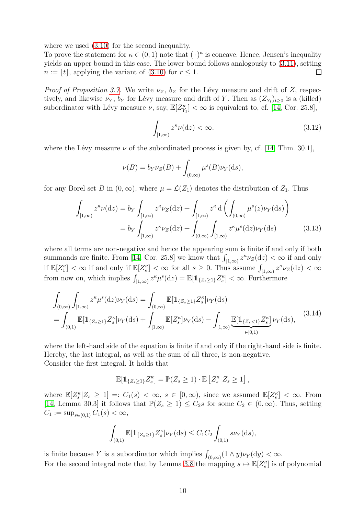where we used [\(3.10\)](#page-8-1) for the second inequality.

To prove the statement for  $\kappa \in (0,1)$  note that  $(\cdot)^{\kappa}$  is concave. Hence, Jensen's inequality yields an upper bound in this case. The lower bound follows analogously to [\(3.11\)](#page-8-2), setting  $n := |t|$ , applying the variant of [\(3.10\)](#page-8-1) for  $r \leq 1$ .  $\Box$ 

*Proof of Proposition [3.7.](#page-8-3)* We write  $\nu_Z$ ,  $b_Z$  for the Lévy measure and drift of Z, respectively, and likewise  $\nu_Y$ ,  $b_Y$  for Lévy measure and drift of Y. Then as  $(Z_{Y_t})_{t\geq0}$  is a (killed) subordinator with Lévy measure  $\nu$ , say,  $\mathbb{E}[Z_{Y_1}^{\kappa}] < \infty$  is equivalent to, cf. [\[14,](#page-14-1) Cor. 25.8],

<span id="page-9-1"></span>
$$
\int_{[1,\infty)} z^{\kappa} \nu(\mathrm{d}z) < \infty. \tag{3.12}
$$

where the Lévy measure  $\nu$  of the subordinated process is given by, cf. [\[14,](#page-14-1) Thm. 30.1],

$$
\nu(B) = b_Y \nu_Z(B) + \int_{(0,\infty)} \mu^s(B) \nu_Y(\mathrm{d}s),
$$

for any Borel set B in  $(0, \infty)$ , where  $\mu = \mathcal{L}(Z_1)$  denotes the distribution of  $Z_1$ . Thus

$$
\int_{[1,\infty)} z^{\kappa} \nu(\mathrm{d}z) = b_Y \int_{[1,\infty)} z^{\kappa} \nu_Z(\mathrm{d}z) + \int_{[1,\infty)} z^{\kappa} \mathrm{d}\left(\int_{(0,\infty)} \mu^s(z) \nu_Y(\mathrm{d}s)\right)
$$
\n
$$
= b_Y \int_{[1,\infty)} z^{\kappa} \nu_Z(\mathrm{d}z) + \int_{(0,\infty)} \int_{[1,\infty)} z^{\kappa} \mu^s(\mathrm{d}z) \nu_Y(\mathrm{d}s) \tag{3.13}
$$

where all terms are non-negative and hence the appearing sum is finite if and only if both summands are finite. From [\[14,](#page-14-1) Cor. 25.8] we know that  $\int_{[1,\infty)} z^{\kappa} \nu_Z(\mathrm{d}z) < \infty$  if and only if  $\mathbb{E}[Z_1^{\kappa}] < \infty$  if and only if  $\mathbb{E}[Z_s^{\kappa}] < \infty$  for all  $s \geq 0$ . Thus assume  $\int_{[1,\infty)} z^{\kappa} \nu_Z(\mathrm{d}z) < \infty$ from now on, which implies  $\int_{[1,\infty)} z^{\kappa} \mu^s(\mathrm{d}z) = \mathbb{E}[\mathbb{1}_{\{Z_s \geq 1\}} Z_s^{\kappa}] < \infty$ . Furthermore

<span id="page-9-0"></span>
$$
\int_{(0,\infty)} \int_{[1,\infty)} z^{\kappa} \mu^{s}(\mathrm{d}z) \nu_{Y}(\mathrm{d}s) = \int_{(0,\infty)} \mathbb{E}[\mathbb{1}_{\{Z_{s}\geq 1\}} Z_{s}^{\kappa}] \nu_{Y}(\mathrm{d}s)
$$
\n
$$
= \int_{(0,1)} \mathbb{E}[\mathbb{1}_{\{Z_{s}\geq 1\}} Z_{s}^{\kappa}] \nu_{Y}(\mathrm{d}s) + \int_{[1,\infty)} \mathbb{E}[Z_{s}^{\kappa}] \nu_{Y}(\mathrm{d}s) - \int_{[1,\infty)} \underbrace{\mathbb{E}[\mathbb{1}_{\{Z_{s}< 1\}} Z_{s}^{\kappa}]} \nu_{Y}(\mathrm{d}s), \tag{3.14}
$$

where the left-hand side of the equation is finite if and only if the right-hand side is finite. Hereby, the last integral, as well as the sum of all three, is non-negative. Consider the first integral. It holds that

$$
\mathbb{E}[\mathbb{1}_{\{Z_s \geq 1\}} Z_s^{\kappa}] = \mathbb{P}(Z_s \geq 1) \cdot \mathbb{E}\left[Z_s^{\kappa} \middle| Z_s \geq 1\right],
$$

where  $\mathbb{E}[Z_s^{\kappa}|Z_s \geq 1] =: C_1(s) < \infty, s \in [0, \infty)$ , since we assumed  $\mathbb{E}[Z_s^{\kappa}] < \infty$ . From [\[14,](#page-14-1) Lemma 30.3] it follows that  $\mathbb{P}(Z_s \geq 1) \leq C_2$ s for some  $C_2 \in (0, \infty)$ . Thus, setting  $C_1 := \sup_{s \in (0,1)} C_1(s) < \infty,$ 

$$
\int_{(0,1)} \mathbb{E}[\mathbb{1}_{\{Z_s \ge 1\}} Z_s^{\kappa}] \nu_Y(\mathrm{d}s) \le C_1 C_2 \int_{(0,1)} s \nu_Y(\mathrm{d}s),
$$

is finite because Y is a subordinator which implies  $\int_{(0,\infty)} (1 \wedge y) \nu_Y(dy) < \infty$ . For the second integral note that by Lemma [3.8](#page-8-4) the mapping  $s \mapsto \mathbb{E}[Z_s^{\kappa}]$  is of polynomial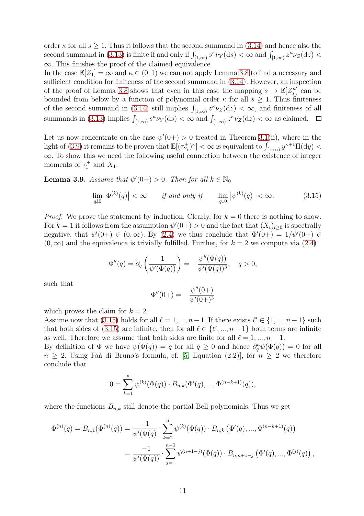order  $\kappa$  for all  $s \geq 1$ . Thus it follows that the second summand in [\(3.14\)](#page-9-0) and hence also the second summand in [\(3.13\)](#page-9-1) is finite if and only if  $\int_{[1,\infty)} s^{\kappa} \nu_Y(\mathrm{d}s) < \infty$  and  $\int_{[1,\infty)} z^{\kappa} \nu_Z(\mathrm{d}z) <$ ∞. This finishes the proof of the claimed equivalence.

In the case  $\mathbb{E}[Z_1] = \infty$  and  $\kappa \in (0, 1)$  we can not apply Lemma [3.8](#page-8-4) to find a necessary and sufficient condition for finiteness of the second summand in [\(3.14\)](#page-9-0). However, an inspection of the proof of Lemma [3.8](#page-8-4) shows that even in this case the mapping  $s \mapsto \mathbb{E}[Z_s^{\kappa}]$  can be bounded from below by a function of polynomial order  $\kappa$  for all  $s \geq 1$ . Thus finiteness of the second summand in [\(3.14\)](#page-9-0) still implies  $\int_{[1,\infty)} z^{\kappa} \nu_Z(\mathrm{d}z) < \infty$ , and finiteness of all summands in [\(3.13\)](#page-9-1) implies  $\int_{[1,\infty)} s^{\kappa} \nu_Y(\text{d}s) < \infty$  and  $\int_{[1,\infty)} z^{\kappa} \nu_Z(\text{d}z) < \infty$  as claimed.

Let us now concentrate on the case  $\psi'(0+) > 0$  treated in Theorem [3.1\(](#page-4-2)ii), where in the light of [\(3.9\)](#page-8-0) it remains to be proven that  $\mathbb{E}[(\tau_{Y_1}^+)^{\kappa}] < \infty$  is equivalent to  $\int_{[1,\infty)} y^{\kappa+1} \Pi(\mathrm{d}y) <$ ∞. To show this we need the following useful connection between the existence of integer moments of  $\tau_1^+$  and  $X_1$ .

<span id="page-10-1"></span>**Lemma 3.9.** Assume that  $\psi'(0+) > 0$ . Then for all  $k \in \mathbb{N}_0$ 

<span id="page-10-0"></span>
$$
\lim_{q\downarrow 0} |\Phi^{(k)}(q)| < \infty \qquad \text{if and only if} \qquad \lim_{q\downarrow 0} |\psi^{(k)}(q)| < \infty. \tag{3.15}
$$

*Proof.* We prove the statement by induction. Clearly, for  $k = 0$  there is nothing to show. For  $k = 1$  it follows from the assumption  $\psi'(0+) > 0$  and the fact that  $(X_t)_{t \geq 0}$  is spectrally negative, that  $\psi'(0+) \in (0,\infty)$ . By  $(2.4)$  we thus conclude that  $\Phi'(0+) = 1/\psi'(0+) \in$  $(0, \infty)$  and the equivalence is trivially fulfilled. Further, for  $k = 2$  we compute via  $(2.4)$ 

$$
\Phi''(q) = \partial_q \left( \frac{1}{\psi'(\Phi(q))} \right) = -\frac{\psi''(\Phi(q))}{\psi'(\Phi(q))^3}, \quad q > 0,
$$

such that

$$
\Phi''(0+) = -\frac{\psi''(0+)}{\psi'(0+)^3}
$$

which proves the claim for  $k = 2$ .

Assume now that [\(3.15\)](#page-10-0) holds for all  $\ell = 1, ..., n - 1$ . If there exists  $\ell' \in \{1, ..., n - 1\}$  such that both sides of [\(3.15\)](#page-10-0) are infinite, then for all  $\ell \in {\ell', ..., n-1}$  both terms are infinite as well. Therefore we assume that both sides are finite for all  $\ell = 1, ..., n - 1$ .

By definition of  $\Phi$  we have  $\psi(\Phi(q)) = q$  for all  $q \geq 0$  and hence  $\partial_q^n \psi(\Phi(q)) = 0$  for all  $n \geq 2$ . Using Faà di Bruno's formula, cf. [\[5,](#page-13-10) Equation (2.2)], for  $n \geq 2$  we therefore conclude that

$$
0 = \sum_{k=1}^{n} \psi^{(k)}(\Phi(q)) \cdot B_{n,k}(\Phi'(q), ..., \Phi^{(n-k+1)}(q)),
$$

where the functions  $B_{n,k}$  still denote the partial Bell polynomials. Thus we get

$$
\Phi^{(n)}(q) = B_{n,1}(\Phi^{(n)}(q)) = \frac{-1}{\psi'(\Phi(q))} \cdot \sum_{k=2}^{n} \psi^{(k)}(\Phi(q)) \cdot B_{n,k}(\Phi'(q), ..., \Phi^{(n-k+1)}(q))
$$
  
= 
$$
\frac{-1}{\psi'(\Phi(q))} \cdot \sum_{j=1}^{n-1} \psi^{(n+1-j)}(\Phi(q)) \cdot B_{n,n+1-j}(\Phi'(q), ..., \Phi^{(j)}(q)),
$$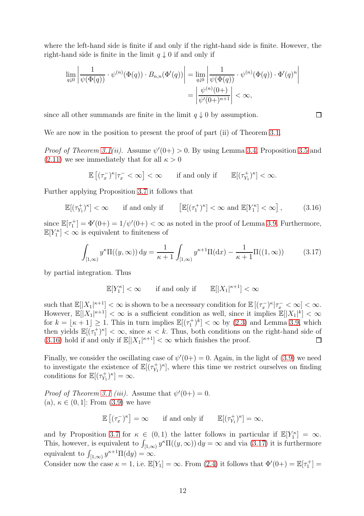where the left-hand side is finite if and only if the right-hand side is finite. However, the right-hand side is finite in the limit  $q \downarrow 0$  if and only if

$$
\lim_{q\downarrow 0} \left| \frac{1}{\psi(\Phi(q))} \cdot \psi^{(n)}(\Phi(q)) \cdot B_{n,n}(\Phi'(q)) \right| = \lim_{q\downarrow 0} \left| \frac{1}{\psi(\Phi(q))} \cdot \psi^{(n)}(\Phi(q)) \cdot \Phi'(q)^n \right|
$$

$$
= \left| \frac{\psi^{(n)}(0+)}{\psi'(0+)^{n+1}} \right| < \infty,
$$

since all other summands are finite in the limit  $q \downarrow 0$  by assumption.

We are now in the position to present the proof of part (ii) of Theorem [3.1.](#page-4-2)

*Proof of Theorem [3.1\(](#page-4-2)ii).* Assume  $\psi'(0+) > 0$ . By using Lemma [3.4,](#page-6-0) Proposition [3.5](#page-7-1) and  $(2.11)$  we see immediately that for all  $\kappa > 0$ 

$$
\mathbb{E}\left[(\tau_x^-)^\kappa | \tau_x^- < \infty \right] < \infty \qquad \text{if and only if} \qquad \mathbb{E}[(\tau_{Y_1}^+)^{\kappa}] < \infty.
$$

Further applying Proposition [3.7](#page-8-3) it follows that

<span id="page-11-0"></span>
$$
\mathbb{E}[(\tau_{Y_1}^+)^{\kappa}] < \infty \qquad \text{if and only if} \qquad \left[\mathbb{E}[(\tau_1^+)^{\kappa}] < \infty \text{ and } \mathbb{E}[Y_1^{\kappa}] < \infty\right],\tag{3.16}
$$

since  $\mathbb{E}[\tau_1^+] = \Phi'(0+) = 1/\psi'(0+) < \infty$  as noted in the proof of Lemma [3.9.](#page-10-1) Furthermore,  $\mathbb{E}[Y_1^{\kappa}] < \infty$  is equivalent to finiteness of

$$
\int_{[1,\infty)} y^{\kappa} \Pi((y,\infty)) dy = \frac{1}{\kappa + 1} \int_{[1,\infty)} y^{\kappa+1} \Pi(dx) - \frac{1}{\kappa + 1} \Pi((1,\infty))
$$
(3.17)

by partial integration. Thus

$$
\mathbb{E}[Y_1^{\kappa}] < \infty \quad \text{if and only if} \quad \mathbb{E}[|X_1|^{\kappa+1}] < \infty
$$

such that  $\mathbb{E}[|X_1|^{\kappa+1}] < \infty$  is shown to be a necessary condition for  $\mathbb{E}[(\tau_x^{-})^{\kappa}|\tau_x^{-} < \infty] < \infty$ . However,  $\mathbb{E}[|X_1|^{\kappa+1}] < \infty$  is a sufficient condition as well, since it implies  $\mathbb{E}[|X_1|^k] < \infty$ for  $k = \lfloor \kappa + 1 \rfloor \ge 1$ . This in turn implies  $\mathbb{E}[(\tau_1^+)^k] < \infty$  by [\(2.3\)](#page-2-2) and Lemma [3.9,](#page-10-1) which then yields  $\mathbb{E}[(\tau_1^+)^{\kappa}] < \infty$ , since  $\kappa < k$ . Thus, both conditions on the right-hand side of [\(3.16\)](#page-11-0) hold if and only if  $\mathbb{E}[|X_1|^{\kappa+1}] < \infty$  which finishes the proof.

Finally, we consider the oscillating case of  $\psi'(0+) = 0$ . Again, in the light of [\(3.9\)](#page-8-0) we need to investigate the existence of  $\mathbb{E}[(\tau_{Y_1}^+)^{\kappa}]$ , where this time we restrict ourselves on finding conditions for  $\mathbb{E}[(\tau_{Y_1}^+)]$  $\binom{m+1}{Y_1}^{\kappa} = \infty.$ 

*Proof of Theorem [3.1](#page-4-2) (iii).* Assume that  $\psi'(0+) = 0$ . (a),  $\kappa \in (0,1]$ : From  $(3.9)$  we have

$$
\mathbb{E}\left[(\tau_x^-)^{\kappa}\right] = \infty \qquad \text{if and only if} \qquad \mathbb{E}[(\tau_{Y_1}^+)^{\kappa}] = \infty,
$$

and by Proposition [3.7](#page-8-3) for  $\kappa \in (0,1)$  the latter follows in particular if  $\mathbb{E}[Y_1^{\kappa}] = \infty$ . This, however, is equivalent to  $\int_{[1,\infty)} y^k \Pi((y,\infty)) dy = \infty$  and via [\(3.17\)](#page-11-1) it is furthermore equivalent to  $\int_{[1,\infty)} y^{\kappa+1} \Pi(\mathrm{d}y) = \infty$ .

Consider now the case  $\kappa = 1$ , i.e.  $\mathbb{E}[Y_1] = \infty$ . From [\(2.4\)](#page-3-2) it follows that  $\Phi'(0+) = \mathbb{E}[\tau_1^+] =$ 

<span id="page-11-1"></span> $\Box$ 

 $\begin{array}{c} \hline \end{array}$  $\mathbf{I}$  $\mathbf{I}$  $\mid$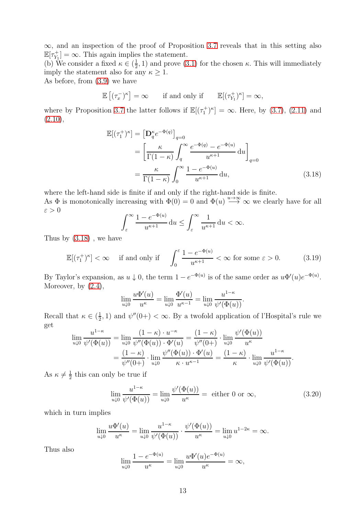$\infty$ , and an inspection of the proof of Proposition [3.7](#page-8-3) reveals that in this setting also  $\mathbb{E}[\tau_{Y_1}^+] = \infty$ . This again implies the statement.

(b) We consider a fixed  $\kappa \in (\frac{1}{2})$  $(\frac{1}{2}, 1)$  and prove [\(3.1\)](#page-5-0) for the chosen  $\kappa$ . This will immediately imply the statement also for any  $\kappa \geq 1$ .

As before, from [\(3.9\)](#page-8-0) we have

$$
\mathbb{E}[(\tau_x^-)^{\kappa}] = \infty \quad \text{if and only if} \quad \mathbb{E}[(\tau_{Y_1}^+)^{\kappa}] = \infty,
$$

where by Proposition [3.7](#page-8-3) the latter follows if  $\mathbb{E}[(\tau_1^+)^{\kappa}] = \infty$ . Here, by [\(3.7\)](#page-7-2), [\(2.11\)](#page-4-1) and  $(2.10),$  $(2.10),$ 

$$
\mathbb{E}[(\tau_1^+)^{\kappa}] = \left[\mathbf{D}_q^{\kappa} e^{-\Phi(q)}\right]_{q=0}
$$
  
\n
$$
= \left[\frac{\kappa}{\Gamma(1-\kappa)} \int_q^{\infty} \frac{e^{-\Phi(q)} - e^{-\Phi(u)}}{u^{\kappa+1}} du\right]_{q=0}
$$
  
\n
$$
= \frac{\kappa}{\Gamma(1-\kappa)} \int_0^{\infty} \frac{1 - e^{-\Phi(u)}}{u^{\kappa+1}} du,
$$
 (3.18)

where the left-hand side is finite if and only if the right-hand side is finite.

As  $\Phi$  is monotonically increasing with  $\Phi(0) = 0$  and  $\Phi(u) \stackrel{u \to \infty}{\longrightarrow} \infty$  we clearly have for all  $\varepsilon > 0$ 

<span id="page-12-1"></span><span id="page-12-0"></span>
$$
\int_{\varepsilon}^{\infty} \frac{1 - e^{-\Phi(u)}}{u^{\kappa + 1}} \, \mathrm{d}u \le \int_{\varepsilon}^{\infty} \frac{1}{u^{\kappa + 1}} \, \mathrm{d}u < \infty.
$$

Thus by [\(3.18\)](#page-12-0) , we have

$$
\mathbb{E}[(\tau_1^+)^{\kappa}] < \infty \quad \text{if and only if} \quad \int_0^\varepsilon \frac{1 - e^{-\Phi(u)}}{u^{\kappa+1}} < \infty \text{ for some } \varepsilon > 0. \tag{3.19}
$$

By Taylor's expansion, as  $u \downarrow 0$ , the term  $1 - e^{-\Phi(u)}$  is of the same order as  $u\Phi'(u)e^{-\Phi(u)}$ . Moreover, by  $(2.4)$ ,

$$
\lim_{u \downarrow 0} \frac{u \Phi'(u)}{u^{\kappa}} = \lim_{u \downarrow 0} \frac{\Phi'(u)}{u^{\kappa - 1}} = \lim_{u \downarrow 0} \frac{u^{1 - \kappa}}{\psi'(\Phi(u))}.
$$

Recall that  $\kappa \in (\frac{1}{2})$  $(\frac{1}{2}, 1)$  and  $\psi''(0+) < \infty$ . By a twofold application of l'Hospital's rule we get

$$
\lim_{u\downarrow 0} \frac{u^{1-\kappa}}{\psi'(\Phi(u))} = \lim_{u\downarrow 0} \frac{(1-\kappa) \cdot u^{-\kappa}}{\psi''(\Phi(u)) \cdot \Phi'(u)} = \frac{(1-\kappa)}{\psi''(0+)} \cdot \lim_{u\downarrow 0} \frac{\psi'(\Phi(u))}{u^{\kappa}} \n= \frac{(1-\kappa)}{\psi''(0+)} \cdot \lim_{u\downarrow 0} \frac{\psi''(\Phi(u)) \cdot \Phi'(u)}{\kappa \cdot u^{\kappa-1}} = \frac{(1-\kappa)}{\kappa} \cdot \lim_{u\downarrow 0} \frac{u^{1-\kappa}}{\psi'(\Phi(u))}.
$$

As  $\kappa \neq \frac{1}{2}$  $\frac{1}{2}$  this can only be true if

$$
\lim_{u \downarrow 0} \frac{u^{1-\kappa}}{\psi'(\Phi(u))} = \lim_{u \downarrow 0} \frac{\psi'(\Phi(u))}{u^{\kappa}} = \text{ either 0 or } \infty,
$$
\n(3.20)

which in turn implies

$$
\lim_{u \downarrow 0} \frac{u \Phi'(u)}{u^{\kappa}} = \lim_{u \downarrow 0} \frac{u^{1-\kappa}}{\psi'(\Phi(u))} \cdot \frac{\psi'(\Phi(u))}{u^{\kappa}} = \lim_{u \downarrow 0} u^{1-2\kappa} = \infty.
$$

Thus also

$$
\lim_{u \downarrow 0} \frac{1 - e^{-\Phi(u)}}{u^{\kappa}} = \lim_{u \downarrow 0} \frac{u \Phi'(u) e^{-\Phi(u)}}{u^{\kappa}} = \infty,
$$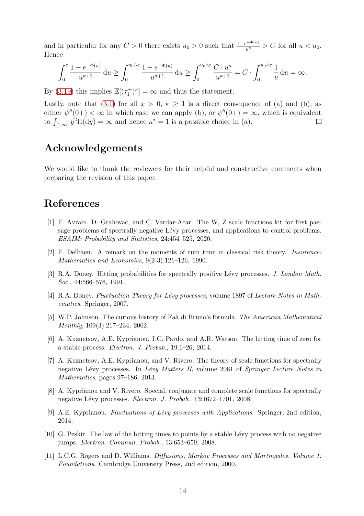and in particular for any  $C > 0$  there exists  $u_0 > 0$  such that  $\frac{1-e^{-\Phi(u)}}{u^{\kappa}} > C$  for all  $u < u_0$ . Hence

$$
\int_0^{\varepsilon} \frac{1 - e^{-\Phi(u)}}{u^{\kappa+1}} du \ge \int_0^{u_0 \wedge \varepsilon} \frac{1 - e^{-\Phi(u)}}{u^{\kappa+1}} du \ge \int_0^{u_0 \wedge \varepsilon} \frac{C \cdot u^{\kappa}}{u^{\kappa+1}} = C \cdot \int_0^{u_0 \wedge \varepsilon} \frac{1}{u} du = \infty.
$$

By [\(3.19\)](#page-12-1) this implies  $\mathbb{E}[(\tau_1^+)^{\kappa}] = \infty$  and thus the statement.

Lastly, note that [\(3.1\)](#page-5-0) for all  $x > 0$ ,  $\kappa > 1$  is a direct consequence of (a) and (b), as either  $\psi''(0+) < \infty$  in which case we can apply (b), or  $\psi''(0+) = \infty$ , which is equivalent to  $\int_{[1,\infty)} y^2 \Pi(dy) = \infty$  and hence  $\kappa^* = 1$  is a possible choice in (a).

# Acknowledgements

We would like to thank the reviewers for their helpful and constructive comments when preparing the revision of this paper.

# <span id="page-13-7"></span>References

- [1] F. Avram, D. Grahovac, and C. Vardar-Acar. The W, Z scale functions kit for first passage problems of spectrally negative Lévy processes, and applications to control problems. ESAIM: Probability and Statistics, 24:454–525, 2020.
- <span id="page-13-3"></span><span id="page-13-0"></span>[2] F. Delbaen. A remark on the moments of ruin time in classical risk theory. Insurance: Mathematics and Economics, 9(2-3):121–126, 1990.
- <span id="page-13-1"></span>[3] R.A. Doney. Hitting probabilities for spectrally positive Lévy processes. J. London Math. Soc., 44:566–576, 1991.
- <span id="page-13-10"></span>[4] R.A. Doney. Fluctuation Theory for Lévy processes, volume 1897 of Lecture Notes in Mathematics. Springer, 2007.
- [5] W.P. Johnson. The curious history of Faà di Bruno's formula. The American Mathematical Monthly, 109(3):217–234, 2002.
- <span id="page-13-5"></span>[6] A. Kuznetsov, A.E. Kyprianou, J.C. Pardo, and A.R. Watson. The hitting time of zero for a stable process. Electron. J. Probab., 19:1–26, 2014.
- <span id="page-13-8"></span>[7] A. Kuznetsov, A.E. Kyprianou, and V. Rivero. The theory of scale functions for spectrally negative Lévy processes. In Lévy Matters II, volume 2061 of Springer Lecture Notes in Mathematics, pages 97–186. 2013.
- <span id="page-13-9"></span>[8] A. Kyprianou and V. Rivero. Special, conjugate and complete scale functions for spectrally negative Lévy processes. Electron. J. Probab., 13:1672-1701, 2008.
- <span id="page-13-6"></span><span id="page-13-4"></span>[9] A.E. Kyprianou. Fluctuations of Lévy processes with Applications. Springer, 2nd edition, 2014.
- [10] G. Peskir. The law of the hitting times to points by a stable L´evy process with no negative jumps. Electron. Commun. Probab., 13:653–659, 2008.
- <span id="page-13-2"></span>[11] L.C.G. Rogers and D. Williams. Diffusions, Markov Processes and Martingales. Volume 1: Foundations. Cambridge University Press, 2nd edition, 2000.